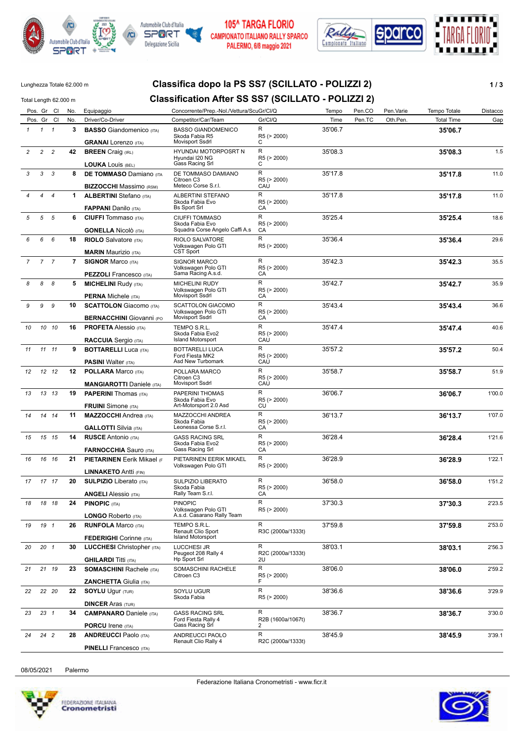







# Lunghezza Totale 62.000 m **Classifica dopo la PS SS7 (SCILLATO - POLIZZI 2) 1 / 3**

| Total Length 62.000 m |                 |                |             |                                                                  | Classification After SS SS7 (SCILLATO - POLIZZI 2)                         |                         |         |        |           |                   |          |
|-----------------------|-----------------|----------------|-------------|------------------------------------------------------------------|----------------------------------------------------------------------------|-------------------------|---------|--------|-----------|-------------------|----------|
|                       |                 | Pos. Gr Cl     | No.         | Equipaggio                                                       | Concorrente/Prep.-Nol./Vettura/ScuGr/Cl/Q                                  |                         | Tempo   | Pen.CO | Pen.Varie | Tempo Totale      | Distacco |
|                       |                 | Pos. Gr Cl     | No.         | Driver/Co-Driver                                                 | Competitor/Car/Team                                                        | Gr/Cl/Q                 | Time    | Pen.TC | Oth.Pen.  | <b>Total Time</b> | Gap      |
| $\mathbf{1}$          | $1 \quad 1$     |                | 3           | <b>BASSO</b> Giandomenico (ITA)<br><b>GRANAI</b> Lorenzo (ITA)   | <b>BASSO GIANDOMENICO</b><br>Skoda Fabia R5<br><b>Movisport Ssdrl</b>      | R<br>R5 (> 2000)<br>С   | 35'06.7 |        |           | 35'06.7           |          |
| $\overline{c}$        | $\overline{c}$  | $\overline{c}$ | 42          | <b>BREEN</b> Craig (IRL)                                         | HYUNDAI MOTORPOSRT N<br>Hyundai I20 NG                                     | R<br>R5 (> 2000)        | 35'08.3 |        |           | 35'08.3           | 1.5      |
|                       |                 |                |             | <b>LOUKA LOUIS (BEL)</b>                                         | Gass Racing Srl                                                            | С                       |         |        |           |                   |          |
| 3                     | 3               | 3              | 8           | <b>DE TOMMASO Damiano</b> (ITA<br><b>BIZZOCCHI</b> Massimo (RSM) | DE TOMMASO DAMIANO<br>Citroen C3<br>Meteco Corse S.r.l.                    | R<br>R5 (> 2000)<br>CAU | 35'17.8 |        |           | 35'17.8           | 11.0     |
|                       | 4               | $\overline{4}$ | $\mathbf 1$ | <b>ALBERTINI</b> Stefano (ITA)                                   | ALBERTINI STEFANO                                                          | R                       | 35'17.8 |        |           | 35'17.8           | 11.0     |
|                       |                 |                |             | <b>FAPPANI</b> Danilo (ITA)                                      | Skoda Fabia Evo<br><b>Bs Sport Srl</b>                                     | R5 (> 2000)<br>СA       |         |        |           |                   |          |
| 5                     | 5               | 5              | 6           | <b>CIUFFI</b> Tommaso (ITA)<br><b>GONELLA Nicolò</b> (ITA)       | <b>CIUFFI TOMMASO</b><br>Skoda Fabia Evo<br>Squadra Corse Angelo Caffi A.s | R<br>R5 (> 2000)<br>CA  | 35'25.4 |        |           | 35'25.4           | 18.6     |
| 6                     | 6               | 6              | 18          | <b>RIOLO</b> Salvatore (ITA)                                     | RIOLO SALVATORE                                                            | R                       | 35'36.4 |        |           | 35'36.4           | 29.6     |
|                       |                 |                |             | <b>MARIN Maurizio (ITA)</b>                                      | Volkswagen Polo GTI<br>CST Sport                                           | R5 (> 2000)             |         |        |           |                   |          |
| $\overline{7}$        |                 | 7 <sub>7</sub> |             | <b>7 SIGNOR Marco (ITA)</b>                                      | <b>SIGNOR MARCO</b>                                                        | R                       | 35'42.3 |        |           | 35'42.3           | 35.5     |
|                       |                 |                |             | <b>PEZZOLI</b> Francesco (ITA)                                   | Volkswagen Polo GTI<br>Sama Racing A.s.d.                                  | R5 (> 2000)<br>СA       |         |        |           |                   |          |
| 8                     | 8               | 8              | 5           | <b>MICHELINI Rudy (ITA)</b>                                      | <b>MICHELINI RUDY</b>                                                      | R                       | 35'42.7 |        |           | 35'42.7           | 35.9     |
|                       |                 |                |             |                                                                  | Volkswagen Polo GTI                                                        | R5 (> 2000)             |         |        |           |                   |          |
|                       |                 |                |             | <b>PERNA Michele (ITA)</b>                                       | <b>Movisport Ssdrl</b>                                                     | CA                      |         |        |           |                   |          |
| 9                     | 9               | 9              | 10          | <b>SCATTOLON</b> Giacomo (ITA)                                   | <b>SCATTOLON GIACOMO</b><br>Volkswagen Polo GTI                            | R<br>R5 (> 2000)        | 35'43.4 |        |           | 35'43.4           | 36.6     |
|                       |                 |                |             | <b>BERNACCHINI Giovanni (PO</b>                                  | Movisport Ssdrl                                                            | CA                      |         |        |           |                   |          |
| 10                    |                 | 10 10          | 16          | <b>PROFETA</b> Alessio (ITA)                                     | TEMPO S.R.L.                                                               | R                       | 35'47.4 |        |           | 35'47.4           | 40.6     |
|                       |                 |                |             | <b>RACCUIA</b> Sergio (ITA)                                      | Skoda Fabia Evo2<br><b>Island Motorsport</b>                               | R5 (> 2000)<br>CAU      |         |        |           |                   |          |
| 11                    |                 | 11 11          | 9           | <b>BOTTARELLI Luca (ITA)</b>                                     | BOTTARELLI LUCA                                                            | R                       | 35'57.2 |        |           | 35'57.2           | 50.4     |
|                       |                 |                |             | <b>PASINI</b> Walter (ITA)                                       | Ford Fiesta MK2<br>Asd New Turbomark                                       | R5 (> 2000)<br>CAU      |         |        |           |                   |          |
| 12                    |                 | 12 12          | 12          | <b>POLLARA Marco (ITA)</b>                                       | POLLARA MARCO                                                              | R                       | 35'58.7 |        |           | 35'58.7           | 51.9     |
|                       |                 |                |             | <b>MANGIAROTTI Daniele (ITA)</b>                                 | Citroen C3<br><b>Movisport Ssdrl</b>                                       | R5 (> 2000)<br>CAU      |         |        |           |                   |          |
| 13                    |                 | 13 13          | 19          | <b>PAPERINI</b> Thomas (ITA)                                     | PAPERINI THOMAS                                                            | R                       | 36'06.7 |        |           |                   | 1'00.0   |
|                       |                 |                |             | <b>FRUINI</b> Simone (ITA)                                       | Skoda Fabia Evo<br>Art-Motorsport 2.0 Asd                                  | R5 (> 2000)<br>CU       |         |        |           | 36'06.7           |          |
| 14                    |                 | 14 14          | 11          | <b>MAZZOCCHI</b> Andrea (ITA)<br><b>GALLOTTI</b> Silvia (ITA)    | MAZZOCCHI ANDREA<br>Skoda Fabia<br>Leonessa Corse S.r.l.                   | R<br>R5 (> 2000)<br>СA  | 36'13.7 |        |           | 36'13.7           | 1'07.0   |
|                       |                 |                | 14          | <b>RUSCE Antonio (ITA)</b>                                       | <b>GASS RACING SRL</b>                                                     | R                       | 36'28.4 |        |           |                   | 1'21.6   |
| 15                    |                 | 15 15          |             | <b>FARNOCCHIA Sauro (ITA)</b>                                    | Skoda Fabia Evo2<br>Gass Racing Srl                                        | R5 (> 2000)<br>CA       |         |        |           | 36'28.4           |          |
| 16                    |                 | 16 16          | 21          | <b>PIETARINEN Eerik Mikael (F</b>                                | PIETARINEN EERIK MIKAEL                                                    | R.                      | 36'28.9 |        |           | 36'28.9           | 1'22.1   |
|                       |                 |                |             | <b>LINNAKETO Antti (FIN)</b>                                     | Volkswagen Polo GTI                                                        | R5 (> 2000)             |         |        |           |                   |          |
| 17                    |                 | 17 17          | 20          | <b>SULPIZIO</b> Liberato (ITA)                                   | SULPIZIO LIBERATO                                                          | R                       | 36'58.0 |        |           | 36'58.0           | 1'51.2   |
|                       |                 |                |             |                                                                  | Skoda Fabia                                                                | R5 (> 2000)             |         |        |           |                   |          |
|                       |                 |                |             | <b>ANGELI</b> Alessio (ITA)                                      | Rally Team S.r.l.                                                          | СA<br>R                 |         |        |           |                   |          |
| 18                    |                 | 18 18          | 24          | <b>PINOPIC (ITA)</b>                                             | <b>PINOPIC</b><br>Volkswagen Polo GTI                                      | R5 (> 2000)             | 37'30.3 |        |           | 37'30.3           | 2'23.5   |
|                       |                 |                |             | LONGO Roberto (ITA)                                              | A.s.d. Casarano Rally Team                                                 |                         |         |        |           |                   |          |
| 19                    |                 | 19 1           | 26          | <b>RUNFOLA Marco (ITA)</b>                                       | TEMPO S.R.L.<br>Renault Clio Sport<br><b>Island Motorsport</b>             | R<br>R3C (2000a/1333t)  | 37'59.8 |        |           | 37'59.8           | 2'53.0   |
|                       |                 |                |             | <b>FEDERIGHI</b> Corinne (ITA)                                   |                                                                            | R                       |         |        |           |                   |          |
| 20                    | 20 <sub>1</sub> |                | 30          | <b>LUCCHESI</b> Christopher (ITA)<br><b>GHILARDI Titti (ITA)</b> | <b>LUCCHESI JR</b><br>Peugeot 208 Rally 4<br><b>Hp Sport Srl</b>           | R2C (2000a/1333t)<br>2U | 38'03.1 |        |           | 38'03.1           | 2'56.3   |
| 21                    |                 | 21 19          | 23          | <b>SOMASCHINI Rachele (ITA)</b>                                  | SOMASCHINI RACHELE                                                         | R                       | 38'06.0 |        |           | 38'06.0           | 2'59.2   |
|                       |                 |                |             | <b>ZANCHETTA Giulia (ITA)</b>                                    | Citroen C3                                                                 | R5 (> 2000)<br>F        |         |        |           |                   |          |
| 22                    |                 | 22 20          | 22          | <b>SOYLU Ugur (TUR)</b>                                          | SOYLU UGUR<br>Skoda Fabia                                                  | R                       | 38'36.6 |        |           | 38'36.6           | 3'29.9   |
|                       |                 |                |             | <b>DINCER Aras (TUR)</b>                                         |                                                                            | R5 (> 2000)             |         |        |           |                   |          |
| 23                    | $23 \t1$        |                | 34          | <b>CAMPANARO</b> Daniele (ITA)                                   | <b>GASS RACING SRL</b>                                                     | R                       | 38'36.7 |        |           | 38'36.7           | 3'30.0   |
|                       |                 |                |             | <b>PORCU Irene (ITA)</b>                                         | Ford Fiesta Rally 4<br>Gass Racing Srl                                     | R2B (1600a/1067t)<br>2  |         |        |           |                   |          |
| 24                    |                 | 24 2           | 28          | <b>ANDREUCCI Paolo (ITA)</b>                                     | ANDREUCCI PAOLO                                                            | R                       | 38'45.9 |        |           | 38'45.9           | 3'39.1   |
|                       |                 |                |             | <b>PINELLI</b> Francesco (ITA)                                   | Renault Clio Rally 4                                                       | R2C (2000a/1333t)       |         |        |           |                   |          |

08/05/2021 Palermo



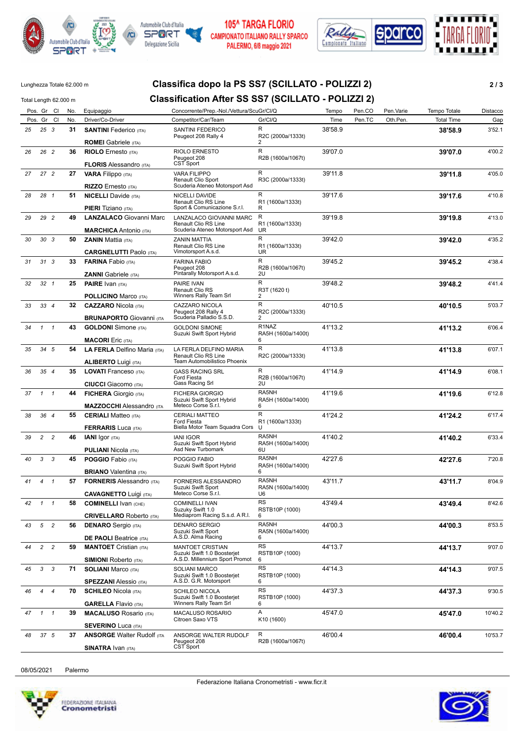







### Lunghezza Totale 62.000 m **Classifica dopo la PS SS7 (SCILLATO - POLIZZI 2) 2 / 3**

#### Total Length 62.000 m **Classification After SS SS7 (SCILLATO - POLIZZI 2)** Pos. Gr Cl No. Equipaggio Concorrente/Prep.-Nol./Vettura/ScuGr/Cl/Q Tempo Pen.CO Pen.Varie Tempo Totale Distacco Pos. Gr Cl No. Driver/Co-Driver Competitor/Car/Team Gr/Cl/Q Time Pen.TC Oth.Pen. Total Time Gap *25* **31 SANTINI** Federico (ITA) **38'58.9** 3'52.1 Peugeot 208 Rally 4 *25 3* **ROMEI** Gabriele (ITA) 38'58.9 2 R2C (2000a/1333t) SANTINI FEDERICO *26* **36 RIOLO** Ernesto (ITA) **39'07.0** 4'00.2 Peugeot 208 CST Sport *26 2* **FLORIS** Alessandro (ITA) 39'07.0 R R2B (1600a/1067t) RIOLO ERNESTO *27* **27 VARA** Filippo (ITA) **39'11.8** 4'05.0 Renault Clio Sport *27 2* **RIZZO** Ernesto (ITA) 39'11.8 Scuderia Ateneo Motorsport Asd R R3C (2000a/1333t) VARA FILIPPO *28* **51 NICELLI** Davide (ITA) **39'17.6** 4'10.8 Renault Clio RS Line *28 1* **PIERI** Tiziano (ITA) 39'17.6 Sport & Comunicazione S.r.l. R R R1 (1600a/1333t) NICELLI DAVIDE *29* **49 LANZALACO** Giovanni Marc **39'19.8** 4'13.0 Renault Clio RS Line Scuderia Ateneo Motorsport Asd *29 2* **MARCHICA** Antonio (ITA) 39'19.8 R UR R1 (1600a/1333t) LANZALACO GIOVANNI MARC *30* **50 ZANIN** Mattia (ITA) **39'42.0** 4'35.2 Renault Clio RS Line *30 3* **CARGNELUTTI** Paolo (ITA) 39'42.0 Vimotorsport A.s.d. R UR R1 (1600a/1333t) ZANIN MATTIA *31* **33 FARINA** Fabio (ITA) **39'45.2** 4'38.4 Peugeot 208 *31 3* **ZANNI** Gabriele (ITA) 39'45.2 Pintarally Motorsport A.s.d. R  $211$ R2B (1600a/1067t) FARINA FABIO *32* **25 PAIRE** Ivan (ITA) **39'48.2** 4'41.4 Renault Clio RS *32 1* **POLLICINO** Marco (ITA) 39'48.2 Winners Rally Team Srl  $\overline{R}$ 2 R3T (1620 t) PAIRE IVAN *33* **32 CAZZARO** Nicola (ITA) **40'10.5** 5'03.7 Peugeot 208 Rally 4 Scuderia Palladio S.S.D. *33 4* **BRUNAPORTO** Giovanni (ITA 40'10.5 R 2 R2C (2000a/1333t) CAZZARO NICOLA *34* **43 GOLDONI** Simone (ITA) **41'13.2** 6'06.4 Suzuki Swift Sport Hybrid *1 1* **MACORI** Eric (ITA) A1'13.2 6 RA5H (1600a/1400t) GOLDONI SIMONE *35* **54 LA FERLA** Delfino Maria (ITA) **41'13.8** 6'07.1 Renault Clio RS Line Team Automobilistico Phoenix *34 5* **ALIBERTO** Luigi (ITA) 41'13.8  $\overline{R}$ R2C (2000a/1333t) LA FERLA DELFINO MARIA *36* **35 LOVATI** Franceso (ITA) **41'14.9** 6'08.1 Ford Fiesta *35 4* **CIUCCI** Giacomo (ITA) 41'14.9 Gass Racing Srl R  $2\overline{U}$ R2B (1600a/1067t) GASS RACING SRL *37* **44 FICHERA** Giorgio (ITA) **41'19.6** 6'12.8 Suzuki Swift Sport Hybrid *1 1* **MAZZOCCHI** Alessandro (ITA 41'19.6 Meteco Corse S.r.l. RA5NH 6 RA5H (1600a/1400t) FICHERA GIORGIO *38* **55 CERIALI** Matteo (ITA) **41'24.2** 6'17.4 Ford Fiesta Biella Motor Team Squadra Cors *36 4* **FERRARIS** Luca (ITA) 41'24.2 R U R1 (1600a/1333t) CERIALI MATTEO *39* **46 IANI** Igor (ITA) **41'40.2** 6'33.4 Suzuki Swift Sport Hybrid *2 2* **PULIANI** Nicola (ITA) 41'40.2 Asd New Turbomark RA5NH 6U RA5H (1600a/1400t) IANI IGOR *40* **45 POGGIO** Fabio (ITA) **42'27.6** 7'20.8 Suzuki Swift Sport Hybrid *3 3* **BRIANO** Valentina (ITA) 42'27.6 6 RA5H (1600a/1400t) POGGIO FABIO *41* **57 FORNERIS** Alessandro (ITA) **43'11.7** 8'04.9 Suzuki Swift Sport *4 1* **CAVAGNETTO** Luigi (ITA) 43'11.7 Meteco Corse<sup>'</sup>S.r.l. RA5NH U6 RA5N (1600a/1400t) FORNERIS ALESSANDRO *42* **58 COMINELLI** Ivan (CHE) **43'49.4** 8'42.6 Suzuky Swift 1.0 Mediaprom Racing S.s.d. A R.l. *1 1* **CRIVELLARO** Roberto (ITA) 43'49.4  $\overline{\text{RS}}$ 6 RSTB10P (1000) COMINELLI IVAN *43* **56 DENARO** Sergio (ITA) **44'00.3** 8'53.5 Suzuki Swift Sport A.S.D. Alma Racing *5 2* **DE PAOLI** Beatrice (ITA) 44'00.3 RA5NH 6 RA5N (1600a/1400t) DENARO SERGIO *44* **59 MANTOET** Cristian (ITA) **44'13.7** 9'07.0 Suzuki Swift 1.0 Boosterjet A.S.D. Millennium Sport Promot *2 2* **SIMIONI** Roberto (ITA) 44'13.7  $\overline{\text{RS}}$ 6 RSTB10P (1000) MANTOET CRISTIAN *45* **71 SOLIANI** Marco (ITA) **44'14.3** 9'07.5 Suzuki Swift 1.0 Boosterjet *3 3* **SPEZZANI** Alessio (ITA) 44'14.3 A.S.D. G.R. Motorsport R<sub>S</sub> 6 RSTB10P (1000) SOLIANI MARCO *46* **70 SCHILEO** Nicola (ITA) **44'37.3** 9'30.5 Suzuki Swift 1.0 Boosterjet *4 4* **GARELLA** Flavio (ITA) 44'37.3 Winners Rally Team Srl RS 6 RSTB10P (1000) SCHILEO NICOLA *47* **39 MACALUSO** Rosario (ITA) **45'47.0** 10'40.2 Citroen Saxo VTS *1 1* **SEVERINO** Luca (ITA) A 45'47.0 K10 (1600) MACALUSO ROSARIO *48* **37 ANSORGE** Walter Rudolf (ITA **46'00.4** 10'53.7 Peugeot 208 CST Sport *37 5* **SINATRA** Ivan (ITA) 46'00.4 R R2B (1600a/1067t) ANSORGE WALTER RUDOLF

08/05/2021 Palermo